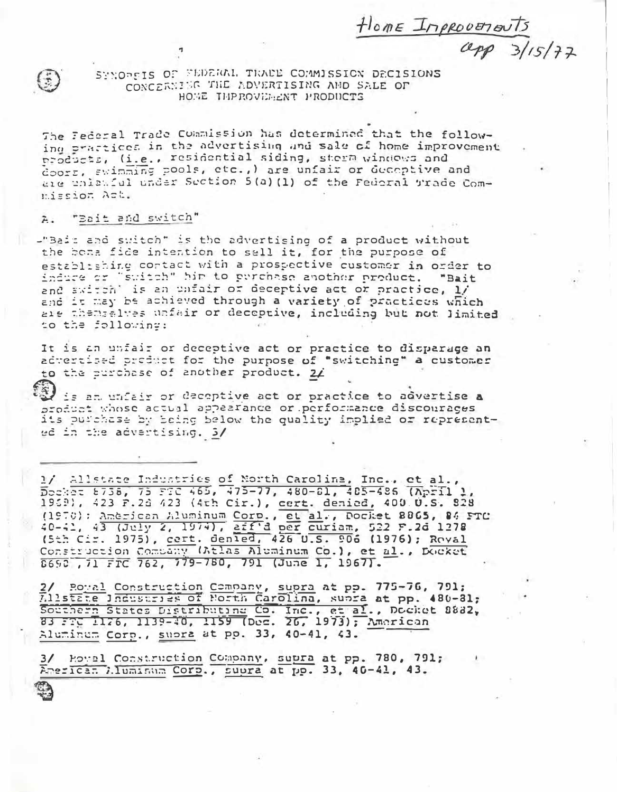$\frac{\text{Hone Inprotons}}{\text{App 3/15/72}}$ 



SYNOREIS OF FEDERAL TRACE COMMISSION DECISIONS CONCERNING THE ADVERTISING AND SALE OF HOME THPROVERENT PRODUCTS

The Federal Trade Commission has determined that the following practices in the advertising and sale of home improvement products, (i.e., residential siding, sterm windows and doors, swimming pools, etc., ) are unfair or decoptive and are unlawful under Section 5(a)(1) of the Federal Trade Commission Act.

## "Bait and switch"  $\tilde{A}$ .

-"Bait and suitch" is the advertising of a product without the bona fide intention to sall it, for the purpose of establishing contact with a prospective customer in order to induce or "switch" him to purchase another product. "Bait and switch' is an unfair or deceptive act or practice, 1/ and it may be achieved through a variety of practices which are themselves unfair or deceptive, including but not limited to the following:

It is an unfair or deceptive act or practice to disparage an advertised product for the purpose of "switching" a customer to the purchase of another product. 2/

is an unfair or deceptive act or practice to advertise a product whose actual appearance or performance discourages its purchase by being below the quality implied or represented in the advertising. 3/

1/ Allstate Industries of North Carolina, Inc., et al., 1959), 423 P.2d 423 (4th Cir.), cert. denied, 400.0.S. 828 (1970): Américan Aluminum Corp., et al., Docket 8865, 84 FTC<br>40-41, 43 (July 2, 1974), aff'd per curiam, 522 F.2d 1278<br>(5th Cir. 1975), cert. denied, 426 U.S. 906 (1976); Roval Construction Company (Atlas Aluminum Co.), et al., Docket

2/ Boyal Construction Company, supra at pp. 775-76, 791;<br>Allstate Industries of Morth Carolina, supra at pp. 480-81; Southern States Distributing Co. Inc., et al., Docket 8882, Aluminum Corp., supra at pp. 33, 40-41, 43.

3/ Howel Construction Company, supra at pp. 780, 791; American Wiluminum Corp., supra at pp. 33, 40-41, 43.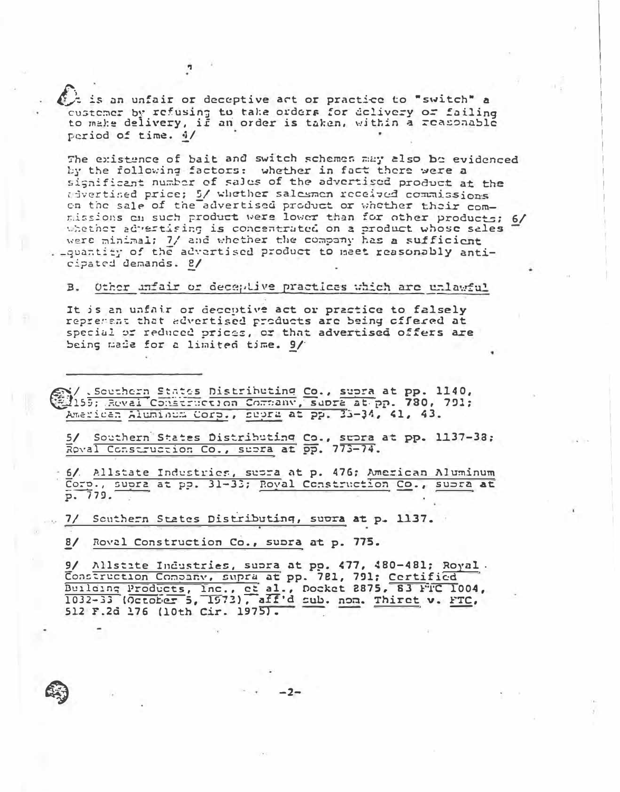t is an unfair or deceptive act or practice to "switch" a custemer by refusing to take orders for delivery or failing to make delivery, if an order is taken, within a reasonable period of time. 4/

The existence of bait and switch schemes may also be evidenced by the following factors: whether in fact there were a significant number of sales of the advertised product at the sivertised price; 5/ whether salesmen received commissions on the sale of the advertised product or whether their commissions on such product were lower than for other products; 6/ whether advertising is concentrated on a product whose sales were minimal: 7/ and whether the company has a sufficient . \_quantity of the advertised product to meet reasonably anticipated demands. 2/

## $B<sub>z</sub>$ Other unfair or deceptive practices which are unlawful

It is an unfair or deceptive act or practice to falsely reprement that advertised products are being offered at special or reduced prices, or that advertised offers are being made for a limited time. 9/

Southern States Distributing Co., supra at pp. 1140, American Aluminum Corp., supra at pp. 33-34, 41, 43.

5/ Southern States Distributing Co., subra at pp. 1137-38; Roval Construction Co., subra at pp. 773-74.

6/ Allstate Industries, suora at p. 476; American Aluminum Corp., supra at pp. 31-33; Royal Construction Co., subra at p. 779.

7/ Southern States Distributing, suora at p. 1137.

8/ Roval Construction Co., supra at p. 775.

9/ Allstate Industries, supra at pp. 477, 480-481; Royal. Construction Company, supra at pp. 781, 791; Certified Building Products, Inc., et al., Docket 2875, 83 FTC 1004, 512 F.2d 176 (10th Cir. 1975).

 $-2-$